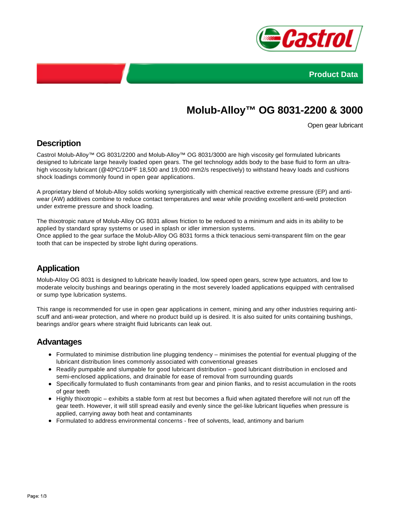



# **Molub-Alloy™ OG 8031-2200 & 3000**

Open gear lubricant

## **Description**

CastroI Molub-Alloy™ OG 8031/2200 and Molub-Alloy™ OG 8031/3000 are high viscosity gel formulated lubricants designed to lubricate large heavily loaded open gears. The gel technology adds body to the base fluid to form an ultrahigh viscosity lubricant (@40°C/104°F 18,500 and 19,000 mm2/s respectively) to withstand heavy loads and cushions shock loadings commonly found in open gear applications.

A proprietary blend of Molub-Alloy solids working synergistically with chemical reactive extreme pressure (EP) and antiwear (AW) additives combine to reduce contact temperatures and wear while providing excellent anti-weld protection under extreme pressure and shock loading.

The thixotropic nature of Molub-Alloy OG 8031 allows friction to be reduced to a minimum and aids in its ability to be applied by standard spray systems or used in splash or idler immersion systems. Once applied to the gear surface the Molub-Alloy OG 8031 forms a thick tenacious semi-transparent film on the gear tooth that can be inspected by strobe light during operations.

## **Application**

Molub-AIIoy OG 8031 is designed to lubricate heavily loaded, low speed open gears, screw type actuators, and low to moderate velocity bushings and bearings operating in the most severely loaded applications equipped with centralised or sump type lubrication systems.

This range is recommended for use in open gear applications in cement, mining and any other industries requiring antiscuff and anti-wear protection, and where no product build up is desired. It is also suited for units containing bushings, bearings and/or gears where straight fluid lubricants can leak out.

#### **Advantages**

- Formulated to minimise distribution line plugging tendency minimises the potential for eventual plugging of the lubricant distribution lines commonly associated with conventional greases
- Readily pumpable and slumpable for good lubricant distribution good lubricant distribution in enclosed and semi-enclosed applications, and drainable for ease of removal from surrounding guards
- Specifically formulated to flush contaminants from gear and pinion flanks, and to resist accumulation in the roots of gear teeth
- Highly thixotropic exhibits a stable form at rest but becomes a fluid when agitated therefore will not run off the gear teeth. However, it will still spread easily and evenly since the gel-like lubricant liquefies when pressure is applied, carrying away both heat and contaminants
- Formulated to address environmental concerns free of solvents, lead, antimony and barium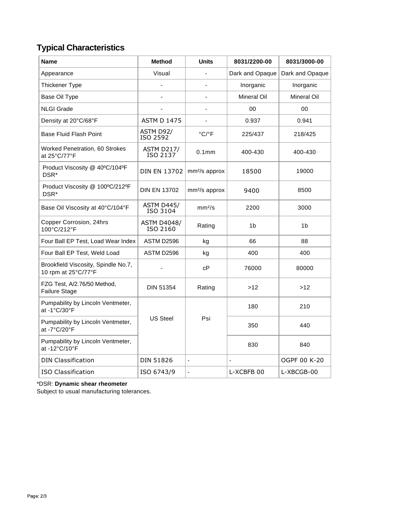## **Typical Characteristics**

| Name                                                       | <b>Method</b>                  | <b>Units</b>               | 8031/2200-00    | 8031/3000-00       |
|------------------------------------------------------------|--------------------------------|----------------------------|-----------------|--------------------|
| Appearance                                                 | Visual                         |                            | Dark and Opaque | Dark and Opaque    |
| Thickener Type                                             |                                |                            | Inorganic       | Inorganic          |
| Base Oil Type                                              |                                |                            | Mineral Oil     | <b>Mineral Oil</b> |
| <b>NLGI Grade</b>                                          |                                | $\blacksquare$             | 00              | $00\,$             |
| Density at 20°C/68°F                                       | <b>ASTM D 1475</b>             |                            | 0.937           | 0.941              |
| <b>Base Fluid Flash Point</b>                              | ASTM D92/<br>ISO 2592          | $^{\circ}$ C/ $^{\circ}$ F | 225/437         | 218/425            |
| <b>Worked Penetration, 60 Strokes</b><br>at 25°C/77°F      | <b>ASTM D217/</b><br>ISO 2137  | 0.1 <sub>mm</sub>          | 400-430         | 400-430            |
| Product Viscosity @ 40°C/104°F<br>DSR*                     | DIN EN 13702                   | mm <sup>2</sup> /s approx  | 18500           | 19000              |
| Product Viscosity @ 100°C/212°F<br>DSR*                    | <b>DIN EN 13702</b>            | mm <sup>2</sup> /s approx  | 9400            | 8500               |
| Base Oil Viscosity at 40°C/104°F                           | <b>ASTM D445/</b><br>ISO 3104  | mm <sup>2</sup> /s         | 2200            | 3000               |
| Copper Corrosion, 24hrs<br>100°C/212°F                     | <b>ASTM D4048/</b><br>ISO 2160 | Rating                     | 1 <sub>b</sub>  | 1b                 |
| Four Ball EP Test, Load Wear Index                         | ASTM D2596                     | kg                         | 66              | 88                 |
| Four Ball EP Test, Weld Load                               | ASTM D2596                     | kg                         | 400             | 400                |
| Brookfield Viscosity, Spindle No.7,<br>10 rpm at 25°C/77°F |                                | сP                         | 76000           | 80000              |
| FZG Test, A/2.76/50 Method,<br>Failure Stage               | <b>DIN 51354</b>               | Rating                     | >12             | >12                |
| Pumpability by Lincoln Ventmeter,<br>at -1°C/30°F          |                                |                            | 180             | 210                |
| Pumpability by Lincoln Ventmeter,<br>at -7°C/20°F          | <b>US Steel</b>                | Psi                        | 350             | 440                |
| Pumpability by Lincoln Ventmeter,<br>at -12°C/10°F         |                                |                            | 830             | 840                |
| <b>DIN Classification</b>                                  | DIN 51826                      | ä,                         |                 | OGPF 00 K-20       |
| <b>ISO Classification</b>                                  | ISO 6743/9                     | $\blacksquare$             | L-XCBFB 00      | L-XBCGB-00         |

#### \*DSR: **Dynamic shear rheometer**

Subject to usual manufacturing tolerances.